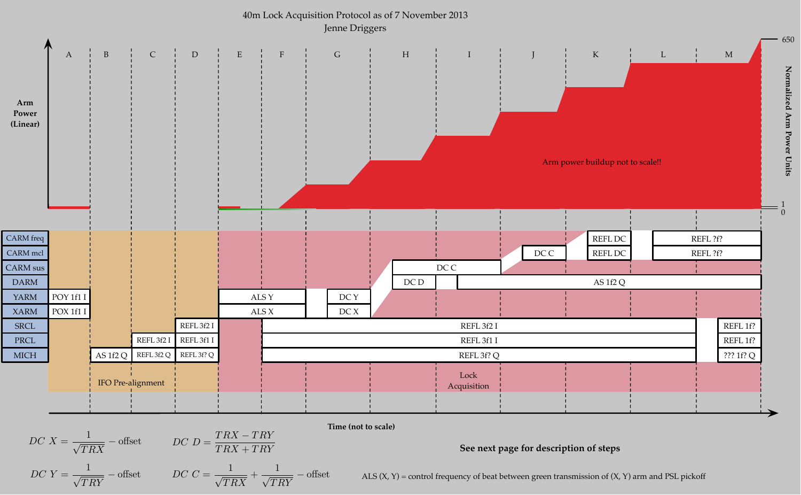$$
DC\ C = \frac{1}{\sqrt{TRX}} + \frac{1}{\sqrt{TRY}} - \text{offset}
$$

 $TRX + TRY$ 

**Time (not to scale)**



 $DC X = \frac{1}{\sqrt{TRX}} - \text{offset}$  $DC D = \frac{TRX - TRY}{T P N + T P Y}$ 

 $DC Y = \frac{1}{\sqrt{TRY}} - \text{offset}$ 

**See next page for description of steps**

*ALS*  $(X, Y)$  = control frequency of beat between green transmission of  $(X, Y)$  arm and PSL pickoff